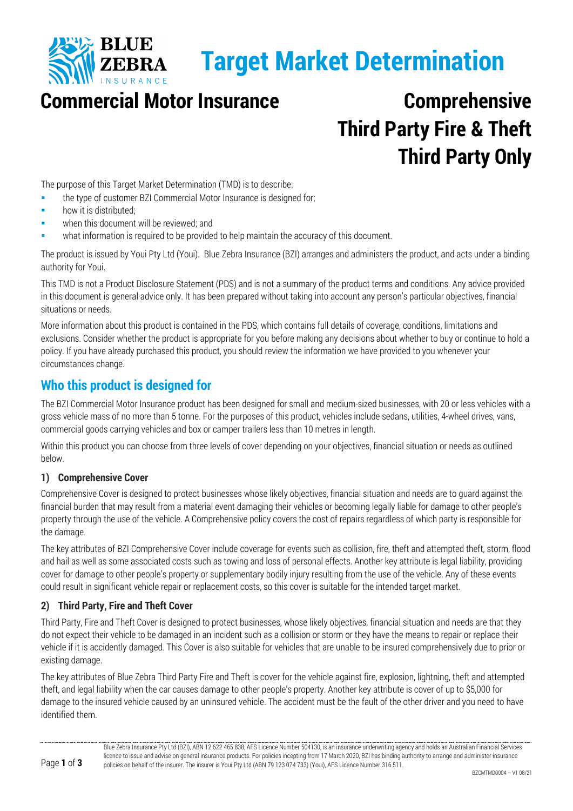

# **Target Market Determination**

# **Commercial Motor Insurance Comprehensive**

# **Third Party Fire & Theft Third Party Only**

The purpose of this Target Market Determination (TMD) is to describe:

- the type of customer BZI Commercial Motor Insurance is designed for;
- how it is distributed;
- when this document will be reviewed; and
- what information is required to be provided to help maintain the accuracy of this document.

The product is issued by Youi Pty Ltd (Youi). Blue Zebra Insurance (BZI) arranges and administers the product, and acts under a binding authority for Youi.

This TMD is not a Product Disclosure Statement (PDS) and is not a summary of the product terms and conditions. Any advice provided in this document is general advice only. It has been prepared without taking into account any person's particular objectives, financial situations or needs.

More information about this product is contained in the PDS, which contains full details of coverage, conditions, limitations and exclusions. Consider whether the product is appropriate for you before making any decisions about whether to buy or continue to hold a policy. If you have already purchased this product, you should review the information we have provided to you whenever your circumstances change.

## **Who this product is designed for**

The BZI Commercial Motor Insurance product has been designed for small and medium-sized businesses, with 20 or less vehicles with a gross vehicle mass of no more than 5 tonne. For the purposes of this product, vehicles include sedans, utilities, 4-wheel drives, vans, commercial goods carrying vehicles and box or camper trailers less than 10 metres in length.

Within this product you can choose from three levels of cover depending on your objectives, financial situation or needs as outlined below.

#### **1) Comprehensive Cover**

Comprehensive Cover is designed to protect businesses whose likely objectives, financial situation and needs are to guard against the financial burden that may result from a material event damaging their vehicles or becoming legally liable for damage to other people's property through the use of the vehicle. A Comprehensive policy covers the cost of repairs regardless of which party is responsible for the damage.

The key attributes of BZI Comprehensive Cover include coverage for events such as collision, fire, theft and attempted theft, storm, flood and hail as well as some associated costs such as towing and loss of personal effects. Another key attribute is legal liability, providing cover for damage to other people's property or supplementary bodily injury resulting from the use of the vehicle. Any of these events could result in significant vehicle repair or replacement costs, so this cover is suitable for the intended target market.

#### **2) Third Party, Fire and Theft Cover**

Third Party, Fire and Theft Cover is designed to protect businesses, whose likely objectives, financial situation and needs are that they do not expect their vehicle to be damaged in an incident such as a collision or storm or they have the means to repair or replace their vehicle if it is accidently damaged. This Cover is also suitable for vehicles that are unable to be insured comprehensively due to prior or existing damage.

The key attributes of Blue Zebra Third Party Fire and Theft is cover for the vehicle against fire, explosion, lightning, theft and attempted theft, and legal liability when the car causes damage to other people's property. Another key attribute is cover of up to \$5,000 for damage to the insured vehicle caused by an uninsured vehicle. The accident must be the fault of the other driver and you need to have identified them.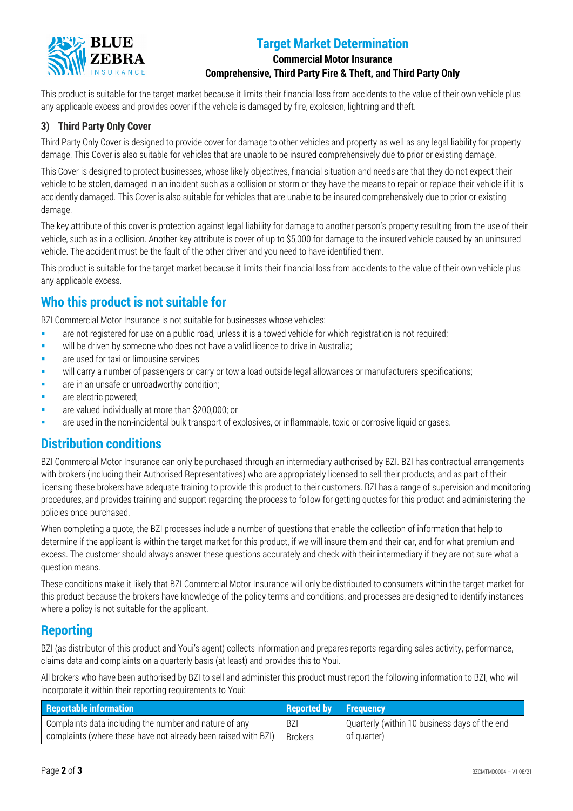

# **Target Market Determination**

#### **Commercial Motor Insurance Comprehensive, Third Party Fire & Theft, and Third Party Only**

This product is suitable for the target market because it limits their financial loss from accidents to the value of their own vehicle plus any applicable excess and provides cover if the vehicle is damaged by fire, explosion, lightning and theft.

#### **3) Third Party Only Cover**

Third Party Only Cover is designed to provide cover for damage to other vehicles and property as well as any legal liability for property damage. This Cover is also suitable for vehicles that are unable to be insured comprehensively due to prior or existing damage.

This Cover is designed to protect businesses, whose likely objectives, financial situation and needs are that they do not expect their vehicle to be stolen, damaged in an incident such as a collision or storm or they have the means to repair or replace their vehicle if it is accidently damaged. This Cover is also suitable for vehicles that are unable to be insured comprehensively due to prior or existing damage.

The key attribute of this cover is protection against legal liability for damage to another person's property resulting from the use of their vehicle, such as in a collision. Another key attribute is cover of up to \$5,000 for damage to the insured vehicle caused by an uninsured vehicle. The accident must be the fault of the other driver and you need to have identified them.

This product is suitable for the target market because it limits their financial loss from accidents to the value of their own vehicle plus any applicable excess.

# **Who this product is not suitable for**

BZI Commercial Motor Insurance is not suitable for businesses whose vehicles:

- **are not registered for use on a public road, unless it is a towed vehicle for which registration is not required;**
- will be driven by someone who does not have a valid licence to drive in Australia;
- **a** are used for taxi or limousine services
- will carry a number of passengers or carry or tow a load outside legal allowances or manufacturers specifications;
- are in an unsafe or unroadworthy condition;
- are electric powered;
- are valued individually at more than \$200,000; or
- are used in the non-incidental bulk transport of explosives, or inflammable, toxic or corrosive liquid or gases.

#### **Distribution conditions**

BZI Commercial Motor Insurance can only be purchased through an intermediary authorised by BZI. BZI has contractual arrangements with brokers (including their Authorised Representatives) who are appropriately licensed to sell their products, and as part of their licensing these brokers have adequate training to provide this product to their customers. BZI has a range of supervision and monitoring procedures, and provides training and support regarding the process to follow for getting quotes for this product and administering the policies once purchased.

When completing a quote, the BZI processes include a number of questions that enable the collection of information that help to determine if the applicant is within the target market for this product, if we will insure them and their car, and for what premium and excess. The customer should always answer these questions accurately and check with their intermediary if they are not sure what a question means.

These conditions make it likely that BZI Commercial Motor Insurance will only be distributed to consumers within the target market for this product because the brokers have knowledge of the policy terms and conditions, and processes are designed to identify instances where a policy is not suitable for the applicant.

### **Reporting**

BZI (as distributor of this product and Youi's agent) collects information and prepares reports regarding sales activity, performance, claims data and complaints on a quarterly basis (at least) and provides this to Youi.

All brokers who have been authorised by BZI to sell and administer this product must report the following information to BZI, who will incorporate it within their reporting requirements to Youi:

| <b>Reportable information</b>                                  | <b>Reported by Frequency</b> |                                               |
|----------------------------------------------------------------|------------------------------|-----------------------------------------------|
| Complaints data including the number and nature of any         | <b>BZI</b>                   | Quarterly (within 10 business days of the end |
| complaints (where these have not already been raised with BZI) | Brokers                      | of quarter)                                   |